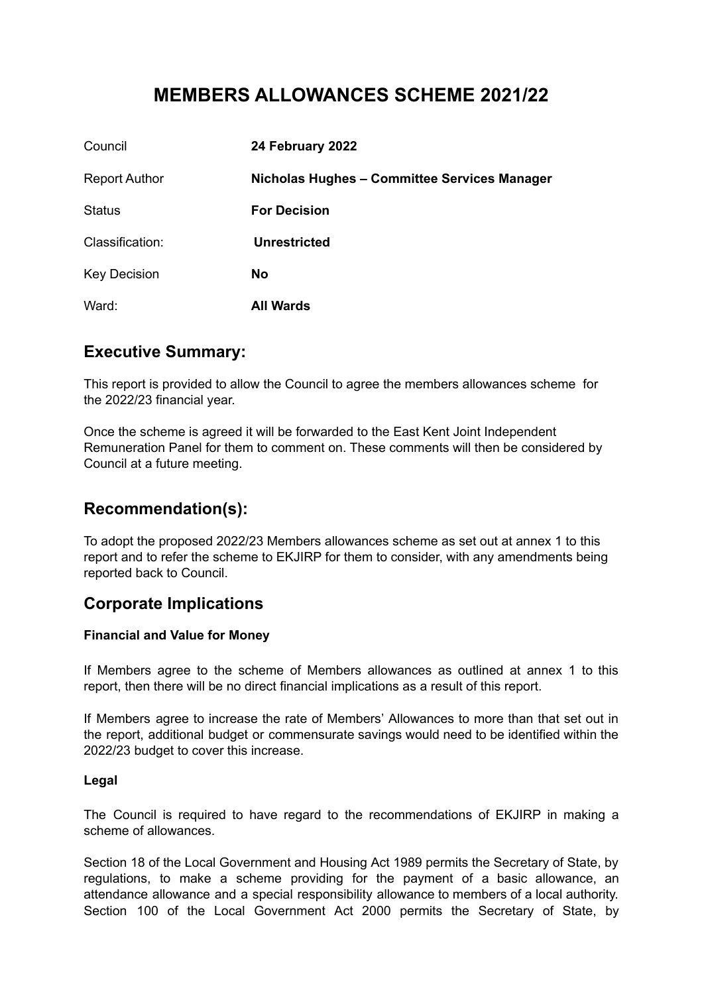# **MEMBERS ALLOWANCES SCHEME 2021/22**

| Council              | 24 February 2022                             |
|----------------------|----------------------------------------------|
| <b>Report Author</b> | Nicholas Hughes - Committee Services Manager |
| <b>Status</b>        | <b>For Decision</b>                          |
| Classification:      | <b>Unrestricted</b>                          |
| <b>Key Decision</b>  | <b>No</b>                                    |
| Ward:                | <b>All Wards</b>                             |

### **Executive Summary:**

This report is provided to allow the Council to agree the members allowances scheme for the 2022/23 financial year.

Once the scheme is agreed it will be forwarded to the East Kent Joint Independent Remuneration Panel for them to comment on. These comments will then be considered by Council at a future meeting.

# **Recommendation(s):**

To adopt the proposed 2022/23 Members allowances scheme as set out at annex 1 to this report and to refer the scheme to EKJIRP for them to consider, with any amendments being reported back to Council.

# **Corporate Implications**

#### **Financial and Value for Money**

If Members agree to the scheme of Members allowances as outlined at annex 1 to this report, then there will be no direct financial implications as a result of this report.

If Members agree to increase the rate of Members' Allowances to more than that set out in the report, additional budget or commensurate savings would need to be identified within the 2022/23 budget to cover this increase.

#### **Legal**

The Council is required to have regard to the recommendations of EKJIRP in making a scheme of allowances.

Section 18 of the Local Government and Housing Act 1989 permits the Secretary of State, by regulations, to make a scheme providing for the payment of a basic allowance, an attendance allowance and a special responsibility allowance to members of a local authority. Section 100 of the Local Government Act 2000 permits the Secretary of State, by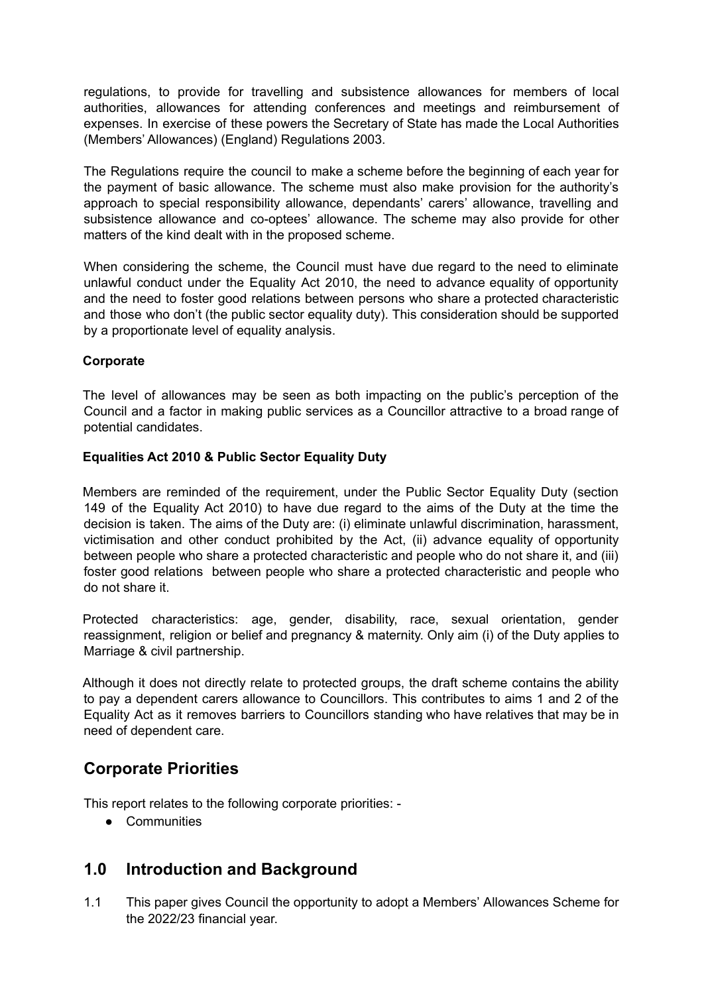regulations, to provide for travelling and subsistence allowances for members of local authorities, allowances for attending conferences and meetings and reimbursement of expenses. In exercise of these powers the Secretary of State has made the Local Authorities (Members' Allowances) (England) Regulations 2003.

The Regulations require the council to make a scheme before the beginning of each year for the payment of basic allowance. The scheme must also make provision for the authority's approach to special responsibility allowance, dependants' carers' allowance, travelling and subsistence allowance and co-optees' allowance. The scheme may also provide for other matters of the kind dealt with in the proposed scheme.

When considering the scheme, the Council must have due regard to the need to eliminate unlawful conduct under the Equality Act 2010, the need to advance equality of opportunity and the need to foster good relations between persons who share a protected characteristic and those who don't (the public sector equality duty). This consideration should be supported by a proportionate level of equality analysis.

#### **Corporate**

The level of allowances may be seen as both impacting on the public's perception of the Council and a factor in making public services as a Councillor attractive to a broad range of potential candidates.

#### **Equalities Act 2010 & Public Sector Equality Duty**

Members are reminded of the requirement, under the Public Sector Equality Duty (section 149 of the Equality Act 2010) to have due regard to the aims of the Duty at the time the decision is taken. The aims of the Duty are: (i) eliminate unlawful discrimination, harassment, victimisation and other conduct prohibited by the Act, (ii) advance equality of opportunity between people who share a protected characteristic and people who do not share it, and (iii) foster good relations between people who share a protected characteristic and people who do not share it.

Protected characteristics: age, gender, disability, race, sexual orientation, gender reassignment, religion or belief and pregnancy & maternity. Only aim (i) of the Duty applies to Marriage & civil partnership.

Although it does not directly relate to protected groups, the draft scheme contains the ability to pay a dependent carers allowance to Councillors. This contributes to aims 1 and 2 of the Equality Act as it removes barriers to Councillors standing who have relatives that may be in need of dependent care.

# **Corporate Priorities**

This report relates to the following corporate priorities: -

● Communities

### **1.0 Introduction and Background**

1.1 This paper gives Council the opportunity to adopt a Members' Allowances Scheme for the 2022/23 financial year.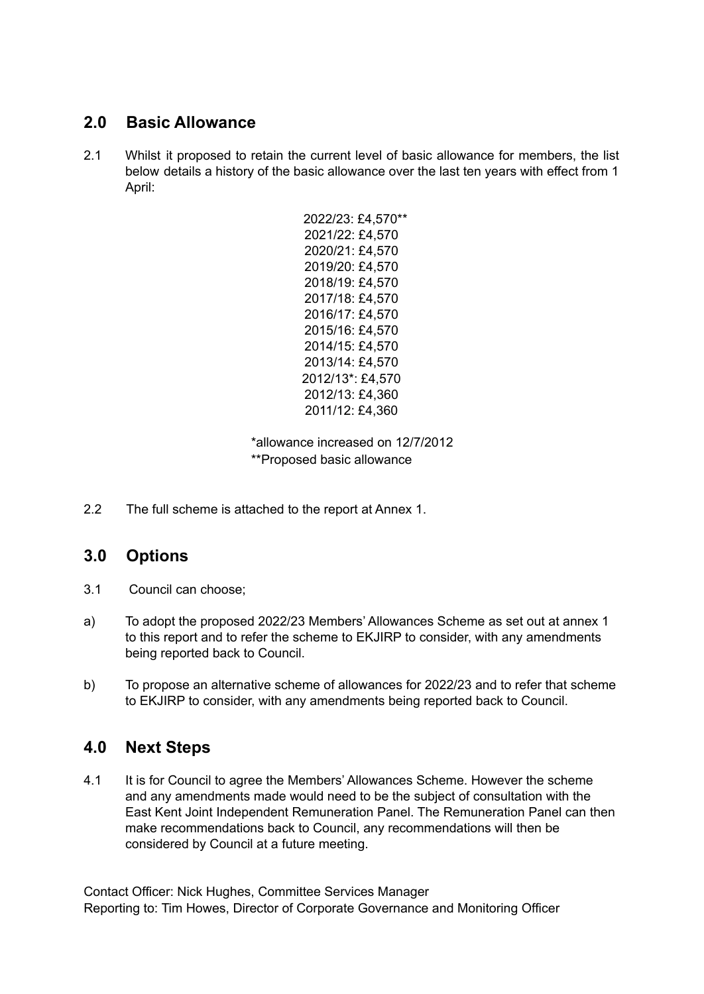# **2.0 Basic Allowance**

2.1 Whilst it proposed to retain the current level of basic allowance for members, the list below details a history of the basic allowance over the last ten years with effect from 1 April:

> 2022/23: £4,570\*\* 2021/22: £4,570 2020/21: £4,570 2019/20: £4,570 2018/19: £4,570 2017/18: £4,570 2016/17: £4,570 2015/16: £4,570 2014/15: £4,570 2013/14: £4,570 2012/13\*: £4,570 2012/13: £4,360 2011/12: £4,360

\*allowance increased on 12/7/2012 \*\*Proposed basic allowance

2.2 The full scheme is attached to the report at Annex 1.

# **3.0 Options**

- 3.1 Council can choose;
- a) To adopt the proposed 2022/23 Members' Allowances Scheme as set out at annex 1 to this report and to refer the scheme to EKJIRP to consider, with any amendments being reported back to Council.
- b) To propose an alternative scheme of allowances for 2022/23 and to refer that scheme to EKJIRP to consider, with any amendments being reported back to Council.

### **4.0 Next Steps**

4.1 It is for Council to agree the Members' Allowances Scheme. However the scheme and any amendments made would need to be the subject of consultation with the East Kent Joint Independent Remuneration Panel. The Remuneration Panel can then make recommendations back to Council, any recommendations will then be considered by Council at a future meeting.

Contact Officer: Nick Hughes, Committee Services Manager Reporting to: Tim Howes, Director of Corporate Governance and Monitoring Officer